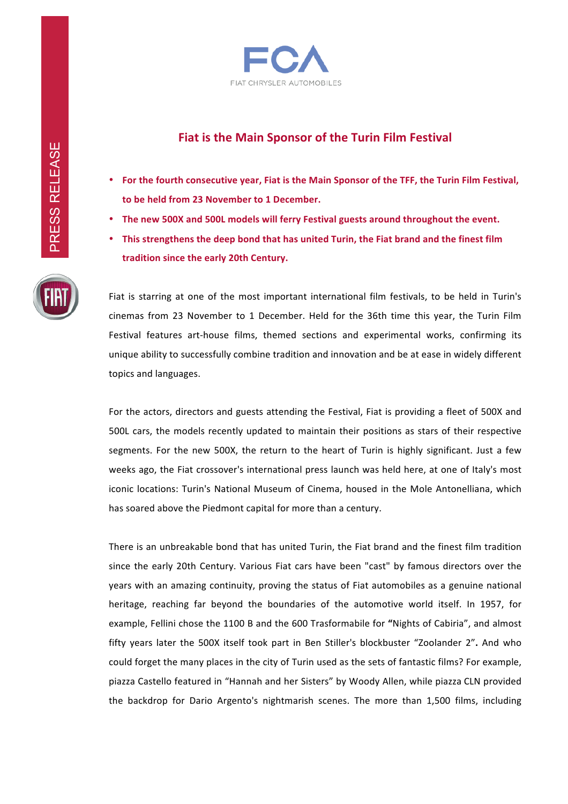

## **Fiat is the Main Sponsor of the Turin Film Festival**

- For the fourth consecutive year, Fiat is the Main Sponsor of the TFF, the Turin Film Festival, to be held from 23 November to 1 December.
- The new 500X and 500L models will ferry Festival guests around throughout the event.
- This strengthens the deep bond that has united Turin, the Fiat brand and the finest film tradition since the early 20th Century.

Fiat is starring at one of the most important international film festivals, to be held in Turin's cinemas from 23 November to 1 December. Held for the 36th time this year, the Turin Film Festival features art-house films, themed sections and experimental works, confirming its unique ability to successfully combine tradition and innovation and be at ease in widely different topics and languages.

For the actors, directors and guests attending the Festival, Fiat is providing a fleet of 500X and 500L cars, the models recently updated to maintain their positions as stars of their respective segments. For the new 500X, the return to the heart of Turin is highly significant. Just a few weeks ago, the Fiat crossover's international press launch was held here, at one of Italy's most iconic locations: Turin's National Museum of Cinema, housed in the Mole Antonelliana, which has soared above the Piedmont capital for more than a century.

There is an unbreakable bond that has united Turin, the Fiat brand and the finest film tradition since the early 20th Century. Various Fiat cars have been "cast" by famous directors over the years with an amazing continuity, proving the status of Fiat automobiles as a genuine national heritage, reaching far beyond the boundaries of the automotive world itself. In 1957, for example, Fellini chose the 1100 B and the 600 Trasformabile for "Nights of Cabiria", and almost fifty years later the 500X itself took part in Ben Stiller's blockbuster "Zoolander 2". And who could forget the many places in the city of Turin used as the sets of fantastic films? For example, piazza Castello featured in "Hannah and her Sisters" by Woody Allen, while piazza CLN provided the backdrop for Dario Argento's nightmarish scenes. The more than 1,500 films, including